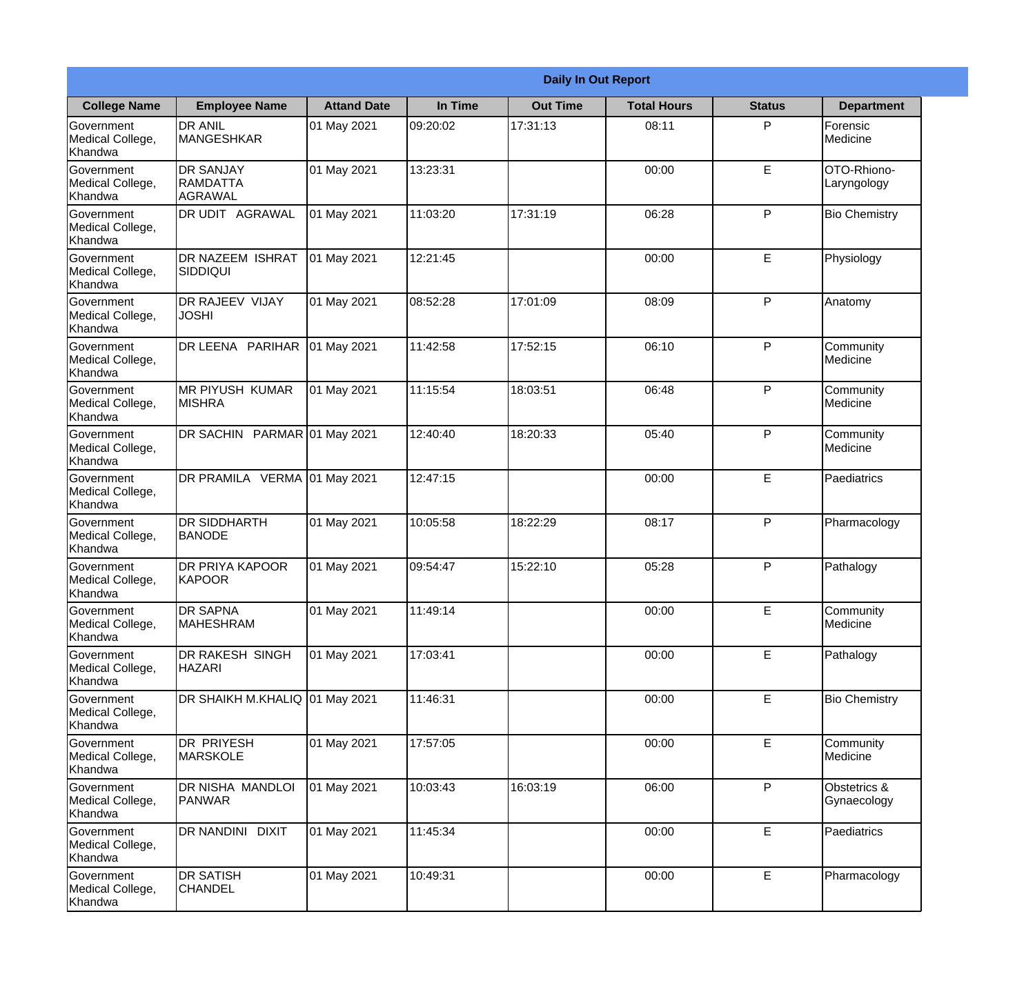|                                                  | <b>Daily In Out Report</b>                     |                    |          |                 |                    |               |                             |  |  |
|--------------------------------------------------|------------------------------------------------|--------------------|----------|-----------------|--------------------|---------------|-----------------------------|--|--|
| <b>College Name</b>                              | <b>Employee Name</b>                           | <b>Attand Date</b> | In Time  | <b>Out Time</b> | <b>Total Hours</b> | <b>Status</b> | <b>Department</b>           |  |  |
| Government<br>Medical College,<br>Khandwa        | <b>DR ANIL</b><br><b>MANGESHKAR</b>            | 01 May 2021        | 09:20:02 | 17:31:13        | 08:11              | P             | Forensic<br>Medicine        |  |  |
| Government<br>Medical College,<br>Khandwa        | <b>DR SANJAY</b><br><b>RAMDATTA</b><br>AGRAWAL | 01 May 2021        | 13:23:31 |                 | 00:00              | $\mathsf E$   | OTO-Rhiono-<br>Laryngology  |  |  |
| <b>Government</b><br>Medical College,<br>Khandwa | <b>DR UDIT AGRAWAL</b>                         | 01 May 2021        | 11:03:20 | 17:31:19        | 06:28              | P             | <b>Bio Chemistry</b>        |  |  |
| <b>Government</b><br>Medical College,<br>Khandwa | <b>DR NAZEEM ISHRAT</b><br>SIDDIQUI            | 01 May 2021        | 12:21:45 |                 | 00:00              | E             | Physiology                  |  |  |
| Government<br>Medical College,<br>Khandwa        | <b>DR RAJEEV VIJAY</b><br><b>JOSHI</b>         | 01 May 2021        | 08:52:28 | 17:01:09        | 08:09              | P             | Anatomy                     |  |  |
| Government<br>Medical College,<br>Khandwa        | DR LEENA PARIHAR                               | 01 May 2021        | 11:42:58 | 17:52:15        | 06:10              | P             | Community<br>Medicine       |  |  |
| <b>Government</b><br>Medical College,<br>Khandwa | <b>MR PIYUSH KUMAR</b><br><b>MISHRA</b>        | 01 May 2021        | 11:15:54 | 18:03:51        | 06:48              | P             | Community<br>Medicine       |  |  |
| <b>Government</b><br>Medical College,<br>Khandwa | DR SACHIN PARMAR 01 May 2021                   |                    | 12:40:40 | 18:20:33        | 05:40              | P             | Community<br>Medicine       |  |  |
| Government<br>Medical College,<br>Khandwa        | DR PRAMILA VERMA 01 May 2021                   |                    | 12:47:15 |                 | 00:00              | E             | Paediatrics                 |  |  |
| Government<br>Medical College,<br>Khandwa        | <b>DR SIDDHARTH</b><br><b>BANODE</b>           | 01 May 2021        | 10:05:58 | 18:22:29        | 08:17              | P             | Pharmacology                |  |  |
| Government<br>Medical College,<br>Khandwa        | <b>IDR PRIYA KAPOOR</b><br>KAPOOR              | 01 May 2021        | 09:54:47 | 15:22:10        | 05:28              | P             | Pathalogy                   |  |  |
| Government<br>Medical College,<br>Khandwa        | <b>DR SAPNA</b><br><b>MAHESHRAM</b>            | 01 May 2021        | 11:49:14 |                 | 00:00              | E             | Community<br>Medicine       |  |  |
| Government<br>Medical College,<br>Khandwa        | DR RAKESH SINGH<br><b>HAZARI</b>               | 01 May 2021        | 17:03:41 |                 | 00:00              | E             | Pathalogy                   |  |  |
| Government<br>Medical College,<br>Khandwa        | DR SHAIKH M.KHALIQ 01 May 2021                 |                    | 11:46:31 |                 | 00:00              | $\mathsf E$   | <b>Bio Chemistry</b>        |  |  |
| Government<br>Medical College,<br>Khandwa        | <b>DR PRIYESH</b><br><b>MARSKOLE</b>           | 01 May 2021        | 17:57:05 |                 | 00:00              | E             | Community<br>Medicine       |  |  |
| Government<br>Medical College,<br>Khandwa        | DR NISHA MANDLOI<br>PANWAR                     | 01 May 2021        | 10:03:43 | 16:03:19        | 06:00              | P             | Obstetrics &<br>Gynaecology |  |  |
| Government<br>Medical College,<br>Khandwa        | DR NANDINI DIXIT                               | 01 May 2021        | 11:45:34 |                 | 00:00              | E             | Paediatrics                 |  |  |
| Government<br>Medical College,<br>Khandwa        | <b>DR SATISH</b><br><b>CHANDEL</b>             | 01 May 2021        | 10:49:31 |                 | 00:00              | $\mathsf E$   | Pharmacology                |  |  |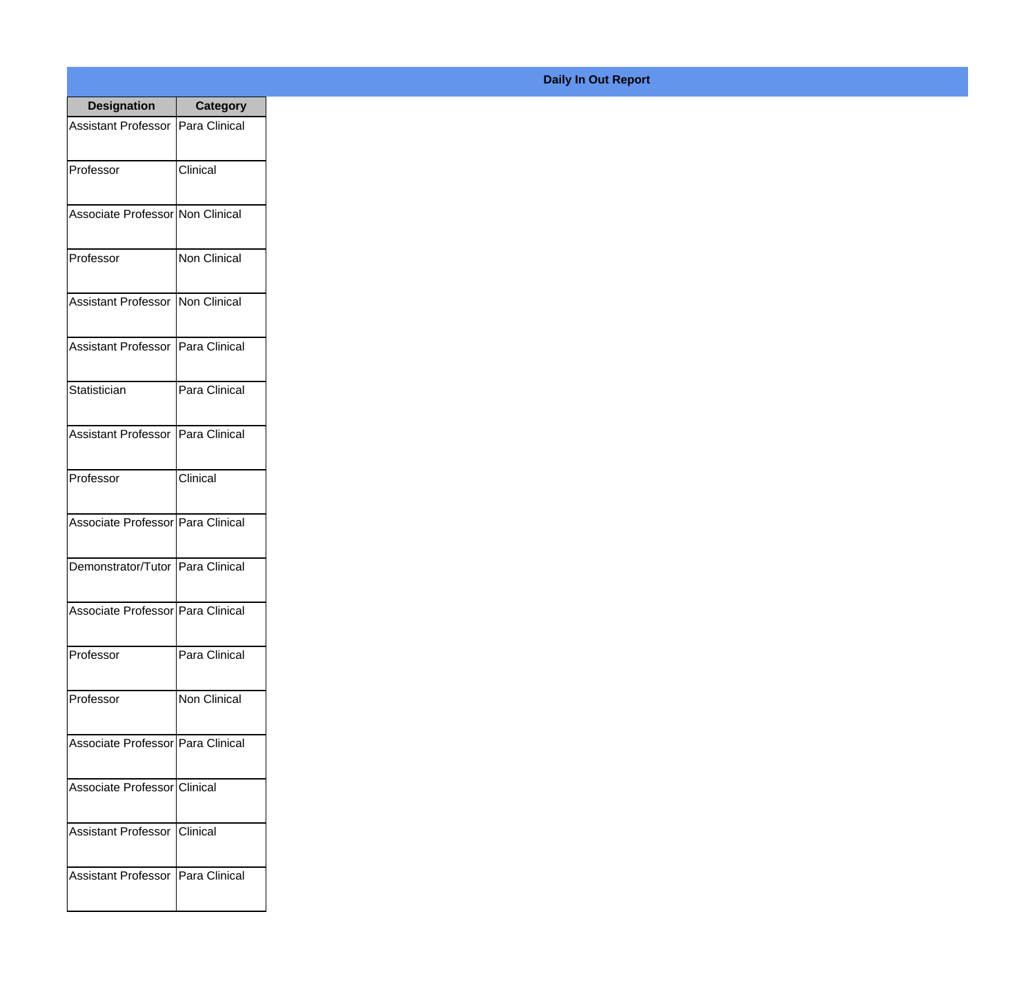| <b>Designation</b>                  | <b>Category</b>     |
|-------------------------------------|---------------------|
| Assistant Professor   Para Clinical |                     |
| Professor                           | Clinical            |
| Associate Professor Non Clinical    |                     |
| Professor                           | <b>Non Clinical</b> |
| Assistant Professor   Non Clinical  |                     |
| Assistant Professor   Para Clinical |                     |
| Statistician                        | Para Clinical       |
| Assistant Professor   Para Clinical |                     |
| Professor                           | Clinical            |
| Associate Professor   Para Clinical |                     |
| Demonstrator/Tutor   Para Clinical  |                     |
| Associate Professor   Para Clinical |                     |
| Professor                           | Para Clinical       |
| Professor                           | <b>Non Clinical</b> |
| Associate Professor Para Clinical   |                     |
| Associate Professor Clinical        |                     |
| <b>Assistant Professor</b>          | Clinical            |
| Assistant Professor   Para Clinical |                     |

## **Daily In Out Report**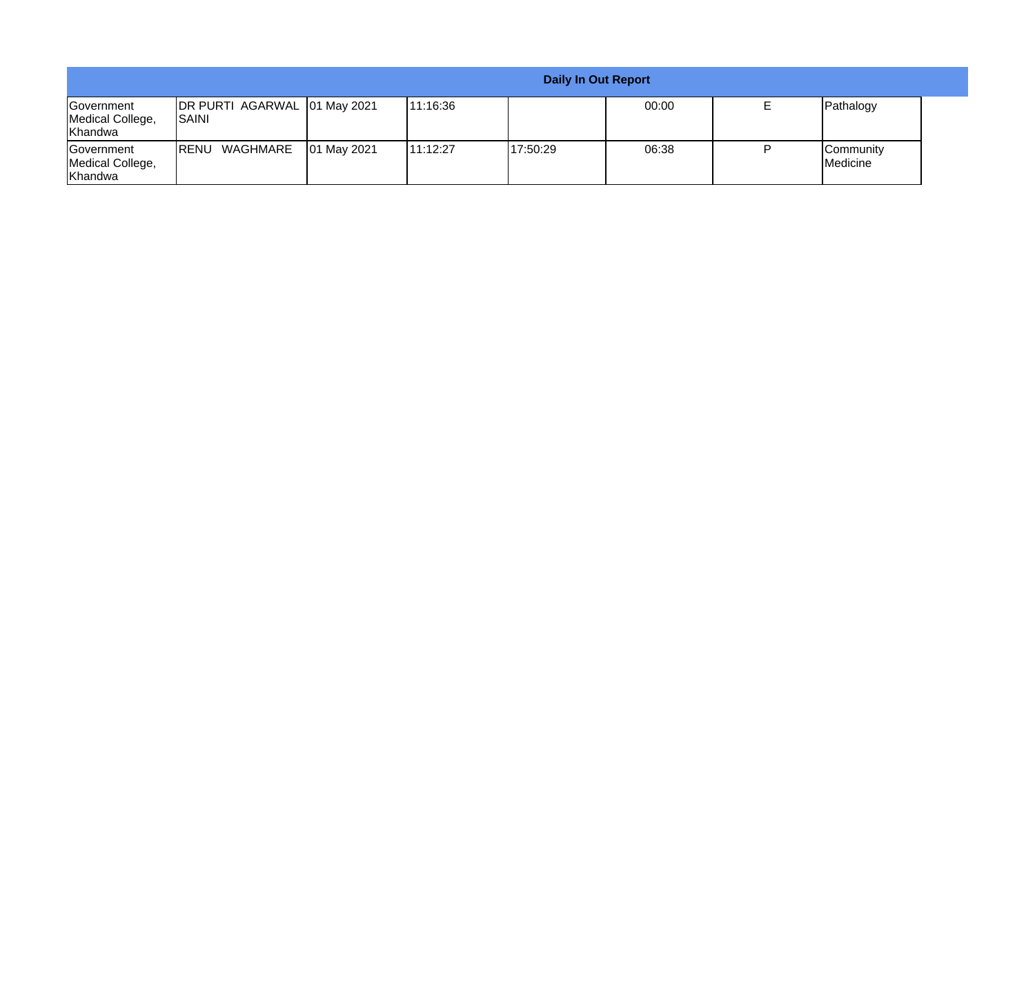|                                                         |                                               |             |           |          | <b>Daily In Out Report</b> |  |                              |
|---------------------------------------------------------|-----------------------------------------------|-------------|-----------|----------|----------------------------|--|------------------------------|
| <b>Government</b><br>Medical College,<br><b>Khandwa</b> | DR PURTI AGARWAL 01 May 2021<br><b>ISAINI</b> |             | 11:16:36  |          | 00:00                      |  | Pathalogy                    |
| <b>Government</b><br>Medical College,<br>Khandwa        | WAGHMARE<br><b>IRENU</b>                      | 01 May 2021 | 111:12:27 | 17:50:29 | 06:38                      |  | <b>Community</b><br>Medicine |